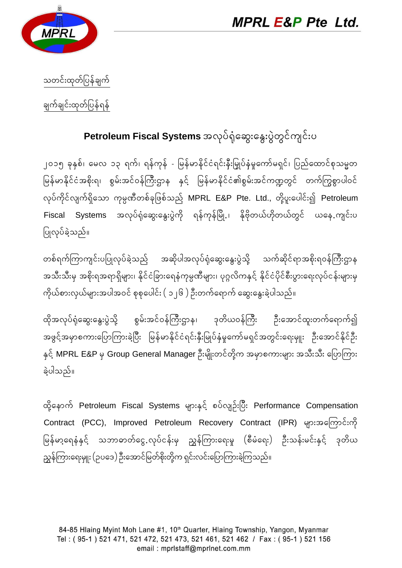



သတင်းထုတ်ပြန်ချက်

ချက်ချင်းထုတ်ပြန်ရန်

## Petroleum Fiscal Systems အလုပ်ရုံဆွေးနွေးပွဲတွင်ကျင်းပ

၂၀၁၅ ခုနှစ်၊ မေလ ၁၃ ရက်၊ ရန်ကုန် - မြန်မာနိုင်ငံရင်းနီးမြှုပ်နံမှုကော်မရှင်၊ ပြည်ထောင်စုသမ္မတ မြန်မာနိုင်ငံအစိုးရ၊ စွမ်းအင်ဝန်ကြီးဌာန နှင့် မြန်မာနိုင်ငံ၏စွမ်းအင်ကဏ္ဍတွင် တက်ကြွစွာပါဝင် လုပ်ကိုင်လျက်ရှိသော ကုမ္ပဏီတစ်ခုဖြစ်သည် MPRL E&P Pte. Ltd., တို့ပူးပေါင်း၍ Petroleum Systems အလုပ်ရုံဆွေးနွေးပွဲကို ရန်ကုန်မြို့၊ နိုဗိုတယ်ဟိုတယ်တွင် ယနေ့.ကျင်းပ Fiscal ပြုလုပ်ခဲ့သည်။

တစ်ရက်ကြာကျင်းပပြုလုပ်ခဲ့သည် အဆိုပါအလုပ်ရုံဆွေးနွေးပွဲသို့ သက်ဆိုင်ရာအစိုးရဝန်ကြီးဌာန အသီးသီးမှ အစိုးရအရာရှိများ၊ နိုင်ငံခြားရေနံကုမ္ပဏီများ၊ ပုဂ္ဂလိကနှင့် နိုင်ငံပိုင်စီးပွားရေးလုပ်ငန်းများမှ ကိုယ်စားလှယ်များအပါအဝင် စုစုပေါင်း ( ၁၂၆ ) ဦးတက်ရောက် ဆွေးနွေးခဲ့ပါသည်။

ထိုအလုပ်ရုံဆွေးနွေးပွဲသို့ စွမ်းအင်ဝန်ကြီးဌာန၊ ဒုတိယဝန်ကြီး ဦးအောင်ထူးတက်ရောက်၍ အဖွင့်အမှာစကားပြောကြားခဲ့ပြီး မြန်မာနိုင်ငံရင်းနှီးမြှုပ်နှံမှုကော်မရှင်အတွင်းရေးမျုး ဦးအောင်နိုင်ဦး နှင့် MPRL E&P မှ Group General Manager ဦးမျိုးတင်တို့က အမှာစကားများ အသီးသီး ပြောကြား ခဲ့ပါသည်။

ထို့နောက် Petroleum Fiscal Systems များနှင့် စပ်လျဉ်းပြီး Performance Compensation Contract (PCC), Improved Petroleum Recovery Contract (IPR) များအကြောင်းကို မြန်မာ့ရေနံနှင့် သဘာဓာတ်ငွေ့.လုပ်ငန်းမှ ညွှန်ကြားရေးမှု (စီမံရေး) ဦးသန်းမင်းနှင့် ဒုတိယ ညွှန်ကြားရေးမှူး (ဉပဒေ) ဦးအောင်မြတ်စိုးတို့က ရှင်းလင်းပြောကြားခဲ့ကြသည်။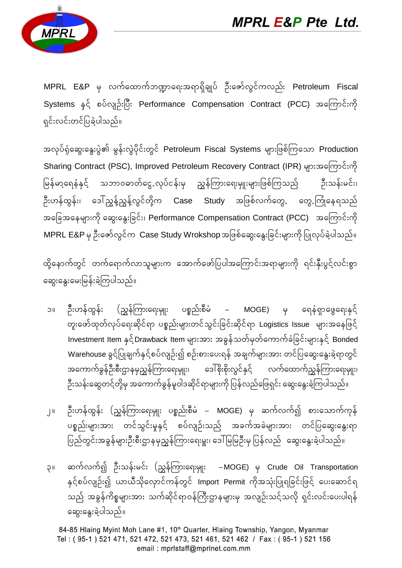

MPRL E&P မှ လက်ထောက်ဘဏ္ဍာရေးအရာရှိချုပ် ဦးဇော်လွင်ကလည်း Petroleum Fiscal Systems နှင့် စပ်လျဉ်းပြီး Performance Compensation Contract (PCC) အကြောင်းကို ရှင်းလင်းတင်ပြခဲ့ပါသည်။

အလုပ်ရုံဆွေးနွေးပွဲ၏ မွန်းလွဲပိုင်းတွင် Petroleum Fiscal Systems များဖြစ်ကြသော Production Sharing Contract (PSC), Improved Petroleum Recovery Contract (IPR) များအကြောင်းကို မြန်မာ့ရေနံနှင့် သဘာဝဓာတ်ငွေ.လုပ်ငန်းမှ ညွှန်ကြားရေးမှူးများဖြစ်ကြသည် ဦးသန်းမင်း၊ ဦးဟန်ထွန်း၊ ဒေါ်ညွန့်ညွန့်လွင်တို့က **Case Study** အဖြစ်လက်တွေ. တွေ.ကြုံနေရသည် အခြေအနေများကို ဆွေးနွေးခြင်း၊ Performance Compensation Contract (PCC) အကြောင်းကို  $\mathsf{MPRL}\,\mathsf{E\&P}\,$ မှ ဦးဇော်လွင်က $\mathsf{Case}\,\mathsf{Study}\,\mathsf{W}$ rokshop အဖြစ်ဆွေးနွေးခြင်းများကို ပြုလုပ်ခဲ့ပါသည်။

ထို့နောက်တွင် တက်ရောက်လာသူများက အောက်ဖော်ပြပါအကြောင်းအရာများကို ရင်းနှီးပွင့်လင်းစွာ အွေးနွေးမေးမြန်းခဲ့ကြပါသည်။

- ၁။ ဦးဟန်ထွန်း (ညွန်ကြားရေးမျုး ပစ္စည်းစီမံ MOGE) မှ ရေနံရှာဖွေရေးနှင့် တူးဖော်ထုတ်လုပ်ရေးဆိုင်ရာ ပစ္စည်းများတင်သွင်းခြင်းဆိုင်ရာ Logistics Issue များအနေဖြင့် Investment Item နှင့်Drawback Item များအား အခွန်သတ်မှတ်ကောက်ခံခြင်းများနှင့် Bonded Warehouse ခွင်ပြုချက်နှင့်စပ်လျဉ်း၍ စဉ်းစားပေးရန် အချက်များအား တင်ပြဆွေးနွေးခဲ့ရာတွင် အကောက်ခွန်ဦးစီးဌာနမှညွှန်ကြားရေးမျုး၊ ဒေါ်စိုးစိုးလွင်နှင့် လက်ထောက်ညွှန်ကြားရေးမျုး၊ ဦးသန်းဆွေတင့်တို့မှ အကောက်ခွန်မူဝါဒဆိုင်ရာများကို ပြန်လည်ဖြေရှင်း ဆွေးနွေးခဲ့ကြပါသည်။
- ၂။ ဦးဟန်ထွန်း (ညွှန်ကြားရေးမှူုး ပစ္စည်းစီမံ MOGE) မှ ဆက်လက်၍ စားသောက်ကုန် ပစ္စည်းများအား တင်သွင်းမှုနှင့် စပ်လျဉ်းသည် အခက်အခဲများအား တင်ပြဆွေးနွေးရာ ပြည်တွင်းအခွန်များဦးစီးဌာနမှညွှန်ကြားရေးမှူး၊ ဒေါ်မြမြဦးမှ ပြန်လည် ဆွေးနွေးခဲ့ပါသည်။
- ၃။ ဆက်လက်၍ ဦးသန်းမင်း (ညွှန်ကြားရေးမှူုး –MOGE) မှ Crude Oil Transportation နှင့်စပ်လျဉ်း၍ ယာယီသိုလှောင်ကန်တွင် Import Permit ကိုအသုံးပြုရခြင်းဖြင့် ပေးဆောင်ရ သည် အခွန်ကိစ္စများအား သက်ဆိုင်ရာဝန်ကြီးဌာနများမှ အလျဉ်းသင့်သလို ရှင်းလင်းပေးပါရန် ဆွေးနွေးခဲ့ပါသည်။

84-85 Hlaing Myint Moh Lane #1, 10<sup>th</sup> Quarter, Hlaing Township, Yangon, Myanmar Tel: (95-1) 521 471, 521 472, 521 473, 521 461, 521 462 / Fax: (95-1) 521 156 email: mprlstaff@mprlnet.com.mm